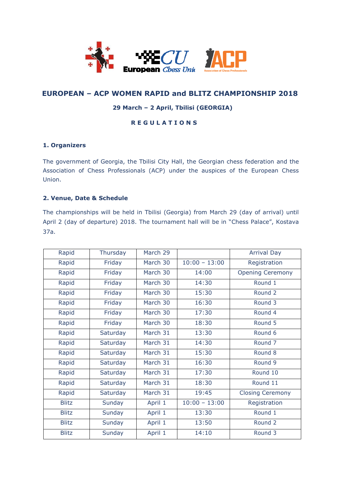

# **EUROPEAN – ACP WOMEN RAPID and BLITZ CHAMPIONSHIP 2018**

# **29 March – 2 April, Tbilisi (GEORGIA)**

# **R E G U L A T I O N S**

#### **1. Organizers**

The government of Georgia, the Tbilisi City Hall, the Georgian chess federation and the Association of Chess Professionals (ACP) under the auspices of the European Chess Union.

### **2. Venue, Date & Schedule**

The championships will be held in Tbilisi (Georgia) from March 29 (day of arrival) until April 2 (day of departure) 2018. The tournament hall will be in "Chess Palace", Kostava 37a.

| Rapid        | Thursday | March 29 |                 | <b>Arrival Day</b>      |
|--------------|----------|----------|-----------------|-------------------------|
| Rapid        | Friday   | March 30 | $10:00 - 13:00$ | Registration            |
| Rapid        | Friday   | March 30 | 14:00           | <b>Opening Ceremony</b> |
| Rapid        | Friday   | March 30 | 14:30           | Round 1                 |
| Rapid        | Friday   | March 30 | 15:30           | Round 2                 |
| Rapid        | Friday   | March 30 | 16:30           | Round 3                 |
| Rapid        | Friday   | March 30 | 17:30           | Round 4                 |
| Rapid        | Friday   | March 30 | 18:30           | Round 5                 |
| Rapid        | Saturday | March 31 | 13:30           | Round 6                 |
| Rapid        | Saturday | March 31 | 14:30           | Round <sub>7</sub>      |
| Rapid        | Saturday | March 31 | 15:30           | Round 8                 |
| Rapid        | Saturday | March 31 | 16:30           | Round 9                 |
| Rapid        | Saturday | March 31 | 17:30           | Round 10                |
| Rapid        | Saturday | March 31 | 18:30           | Round 11                |
| Rapid        | Saturday | March 31 | 19:45           | <b>Closing Ceremony</b> |
| <b>Blitz</b> | Sunday   | April 1  | $10:00 - 13:00$ | Registration            |
| <b>Blitz</b> | Sunday   | April 1  | 13:30           | Round <sub>1</sub>      |
| <b>Blitz</b> | Sunday   | April 1  | 13:50           | Round 2                 |
| <b>Blitz</b> | Sunday   | April 1  | 14:10           | Round 3                 |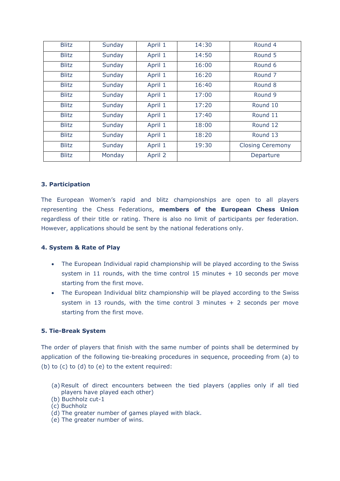| <b>Blitz</b><br>Round 4<br>14:30<br>Sunday<br>April 1<br>14:50<br>Round 5<br><b>Blitz</b><br>Sunday<br>April 1<br>April 1<br>16:00<br>Round 6<br><b>Blitz</b><br>Sunday<br><b>Blitz</b><br>16:20<br>April 1<br>Round <sub>7</sub><br>Sunday<br><b>Blitz</b><br>Sunday<br>Round 8<br>April 1<br>16:40<br><b>Blitz</b><br>Sunday<br>April 1<br>17:00<br>Round 9<br><b>Blitz</b><br>Round 10<br>Sunday<br>April 1<br>17:20<br>Round 11<br><b>Blitz</b><br>Sunday<br>April 1<br>17:40<br>Round 12<br><b>Blitz</b><br>Sunday<br>April 1<br>18:00<br>18:20<br>Round 13<br><b>Blitz</b><br>Sunday<br>April 1<br><b>Blitz</b><br>19:30<br>Sunday<br>April 1<br><b>Closing Ceremony</b><br><b>Blitz</b><br>Monday<br>April 2<br>Departure |  |  |  |
|----------------------------------------------------------------------------------------------------------------------------------------------------------------------------------------------------------------------------------------------------------------------------------------------------------------------------------------------------------------------------------------------------------------------------------------------------------------------------------------------------------------------------------------------------------------------------------------------------------------------------------------------------------------------------------------------------------------------------------|--|--|--|
|                                                                                                                                                                                                                                                                                                                                                                                                                                                                                                                                                                                                                                                                                                                                  |  |  |  |
|                                                                                                                                                                                                                                                                                                                                                                                                                                                                                                                                                                                                                                                                                                                                  |  |  |  |
|                                                                                                                                                                                                                                                                                                                                                                                                                                                                                                                                                                                                                                                                                                                                  |  |  |  |
|                                                                                                                                                                                                                                                                                                                                                                                                                                                                                                                                                                                                                                                                                                                                  |  |  |  |
|                                                                                                                                                                                                                                                                                                                                                                                                                                                                                                                                                                                                                                                                                                                                  |  |  |  |
|                                                                                                                                                                                                                                                                                                                                                                                                                                                                                                                                                                                                                                                                                                                                  |  |  |  |
|                                                                                                                                                                                                                                                                                                                                                                                                                                                                                                                                                                                                                                                                                                                                  |  |  |  |
|                                                                                                                                                                                                                                                                                                                                                                                                                                                                                                                                                                                                                                                                                                                                  |  |  |  |
|                                                                                                                                                                                                                                                                                                                                                                                                                                                                                                                                                                                                                                                                                                                                  |  |  |  |
|                                                                                                                                                                                                                                                                                                                                                                                                                                                                                                                                                                                                                                                                                                                                  |  |  |  |
|                                                                                                                                                                                                                                                                                                                                                                                                                                                                                                                                                                                                                                                                                                                                  |  |  |  |
|                                                                                                                                                                                                                                                                                                                                                                                                                                                                                                                                                                                                                                                                                                                                  |  |  |  |

# **3. Participation**

The European Women's rapid and blitz championships are open to all players representing the Chess Federations, **members of the European Chess Union** regardless of their title or rating. There is also no limit of participants per federation. However, applications should be sent by the national federations only.

# **4. System & Rate of Play**

- The European Individual rapid championship will be played according to the Swiss system in 11 rounds, with the time control 15 minutes  $+$  10 seconds per move starting from the first move.
- The European Individual blitz championship will be played according to the Swiss system in 13 rounds, with the time control 3 minutes  $+$  2 seconds per move starting from the first move.

# **5. Tie-Break System**

The order of players that finish with the same number of points shall be determined by application of the following tie-breaking procedures in sequence, proceeding from (a) to (b) to (c) to (d) to (e) to the extent required:

- (a) Result of direct encounters between the tied players (applies only if all tied players have played each other)
- (b) Buchholz cut-1

- (d) The greater number of games played with black.
- (e) The greater number of wins.

<sup>(</sup>c) Buchholz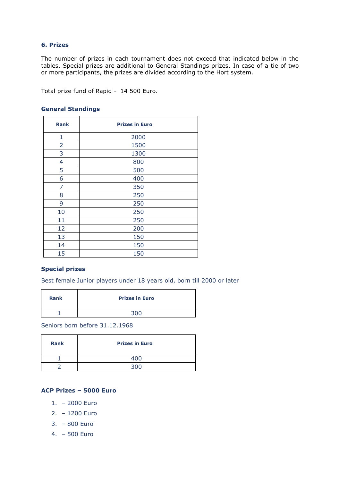# **6. Prizes**

The number of prizes in each tournament does not exceed that indicated below in the tables. Special prizes are additional to General Standings prizes. In case of a tie of two or more participants, the prizes are divided according to the Hort system.

Total prize fund of Rapid - 14 500 Euro.

### **General Standings**

| <b>Rank</b>    | <b>Prizes in Euro</b> |
|----------------|-----------------------|
| 1              | 2000                  |
| $\overline{2}$ | 1500                  |
| 3              | 1300                  |
| $\overline{4}$ | 800                   |
| 5              | 500                   |
| 6              | 400                   |
| 7              | 350                   |
| 8              | 250                   |
| 9              | 250                   |
| 10             | 250                   |
| 11             | 250                   |
| 12             | 200                   |
| 13             | 150                   |
| 14             | 150                   |
| 15             | 150                   |

#### **Special prizes**

Best female Junior players under 18 years old, born till 2000 or later

| <b>Rank</b> | <b>Prizes in Euro</b> |
|-------------|-----------------------|
|             | <b>3</b> UU           |

Seniors born before 31.12.1968

| <b>Rank</b> | <b>Prizes in Euro</b> |
|-------------|-----------------------|
|             | ⊿∩∩                   |
|             | ว∩r                   |

# **ACP Prizes – 5000 Euro**

- 1. 2000 Euro
- 2. 1200 Euro
- 3. 800 Euro
- 4. 500 Euro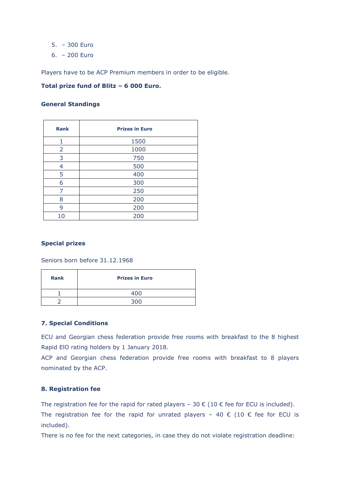- 5. 300 Euro
- 6. 200 Euro

Players have to be ACP Premium members in order to be eligible.

#### **Total prize fund of Blitz – 6 000 Euro.**

#### **General Standings**

| <b>Rank</b> | <b>Prizes in Euro</b> |
|-------------|-----------------------|
| 1           | 1500                  |
| 2           | 1000                  |
| 3           | 750                   |
| 4           | 500                   |
| 5           | 400                   |
| 6           | 300                   |
| 7           | 250                   |
| 8           | 200                   |
| 9           | 200                   |
| 10          | 200                   |

# **Special prizes**

Seniors born before 31.12.1968

| <b>Rank</b> | <b>Prizes in Euro</b> |
|-------------|-----------------------|
|             | 400                   |
|             | 2 U C                 |

# **7. Special Conditions**

ECU and Georgian chess federation provide free rooms with breakfast to the 8 highest Rapid ElO rating holders by 1 January 2018.

ACP and Georgian chess federation provide free rooms with breakfast to 8 players nominated by the ACP.

# **8. Registration fee**

The registration fee for the rapid for rated players – 30  $\epsilon$  (10  $\epsilon$  fee for ECU is included). The registration fee for the rapid for unrated players - 40  $\epsilon$  (10  $\epsilon$  fee for ECU is included).

There is no fee for the next categories, in case they do not violate registration deadline: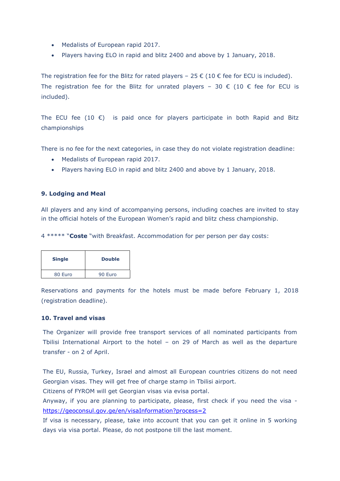- Medalists of European rapid 2017.
- Players having ELO in rapid and blitz 2400 and above by 1 January, 2018.

The registration fee for the Blitz for rated players – 25  $\epsilon$  (10  $\epsilon$  fee for ECU is included). The registration fee for the Blitz for unrated players – 30  $\epsilon$  (10  $\epsilon$  fee for ECU is included).

The ECU fee (10  $\epsilon$ ) is paid once for players participate in both Rapid and Bitz championships

There is no fee for the next categories, in case they do not violate registration deadline:

- Medalists of European rapid 2017.
- Players having ELO in rapid and blitz 2400 and above by 1 January, 2018.

#### **9. Lodging and Meal**

All players and any kind of accompanying persons, including coaches are invited to stay in the official hotels of the European Women's rapid and blitz chess championship.

4 \*\*\*\*\* "**Coste** "with Breakfast. Accommodation for per person per day costs:

| <b>Single</b> | <b>Double</b> |
|---------------|---------------|
| 80 Euro       | 90 Euro       |

Reservations and payments for the hotels must be made before February 1, 2018 (registration deadline).

#### **10. Travel and visas**

The Organizer will provide free transport services of all nominated participants from Tbilisi International Airport to the hotel – on 29 of March as well as the departure transfer - on 2 of April.

The EU, Russia, Turkey, Israel and almost all European countries citizens do not need Georgian visas. They will get free of charge stamp in Tbilisi airport.

Citizens of FYROM will get Georgian visas via evisa portal.

Anyway, if you are planning to participate, please, first check if you need the visa <https://geoconsul.gov.ge/en/visaInformation?process=2>

If visa is necessary, please, take into account that you can get it online in 5 working days via visa portal. Please, do not postpone till the last moment.